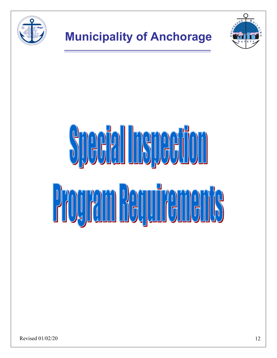

Revised 01/02/20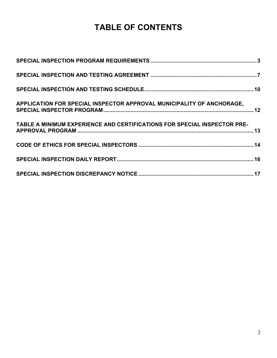# **TABLE OF CONTENTS**

| APPLICATION FOR SPECIAL INSPECTOR APPROVAL MUNICIPALITY OF ANCHORAGE,    |  |
|--------------------------------------------------------------------------|--|
| TABLE A MINIMUM EXPERIENCE AND CERTIFICATIONS FOR SPECIAL INSPECTOR PRE- |  |
|                                                                          |  |
|                                                                          |  |
|                                                                          |  |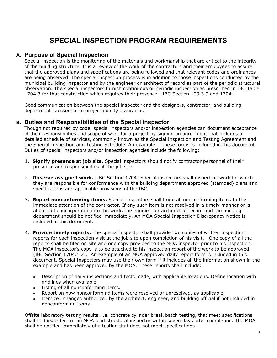# **SPECIAL INSPECTION PROGRAM REQUIREMENTS**

### <span id="page-2-0"></span>**A. Purpose of Special Inspection**

Special inspection is the monitoring of the materials and workmanship that are critical to the integrity of the building structure. It is a review of the work of the contractors and their employees to assure that the approved plans and specifications are being followed and that relevant codes and ordinances are being observed. The special inspection process is in addition to those inspections conducted by the municipal building inspector and by the engineer or architect of record as part of the periodic structural observation. The special inspectors furnish continuous or periodic inspection as prescribed in IBC Table 1704.3 for that construction which requires their presence. [IBC Section 109.3.9 and 1704].

Good communication between the special inspector and the designers, contractor, and building department is essential to project quality assurance.

### **B. Duties and Responsibilities of the Special Inspector**

Though not required by code, special inspectors and/or inspection agencies can document acceptance of their responsibilities and scope of work for a project by signing an agreement that includes a detailed schedule of services, commonly known as the Special Inspection and Testing Agreement and the Special Inspection and Testing Schedule. An example of these forms is included in this document. Duties of special inspectors and/or inspection agencies include the following:

- 1. **Signify presence at job site.** Special inspectors should notify contractor personnel of their presence and responsibilities at the job site.
- 2. **Observe assigned work.** [IBC Section 1704] Special inspectors shall inspect all work for which they are responsible for conformance with the building department approved (stamped) plans and specifications and applicable provisions of the IBC.
- 3. **Report nonconforming items.** Special inspectors shall bring all nonconforming items to the immediate attention of the contractor. If any such item is not resolved in a timely manner or is about to be incorporated into the work, the engineer or architect of record and the building department should be notified immediately. An MOA Special Inspection Discrepancy Notice is included in this document.
- 4. **Provide timely reports.** The special inspector shall provide two copies of written inspection reports for each inspection visit at the job site upon completion of his visit. One copy of all the reports shall be filed on site and one copy provided to the MOA inspector prior to his inspection. The MOA inspector's copy is to be attached to his inspection report of the work to be approved (IBC Section 1704.1.2). An example of an MOA approved daily report form is included in this document. Special Inspectors may use their own form if it includes all the information shown in the example and has been approved by the MOA. These reports shall include:
	- Description of daily inspections and tests made, with applicable locations. Define location with gridlines when available.
	- Listing of all nonconforming items.
	- Report on how nonconforming items were resolved or unresolved, as applicable.
	- Itemized changes authorized by the architect, engineer, and building official if not included in nonconforming items.

Offsite laboratory testing results, i.e. concrete cylinder break batch testing, that meet specifications shall be forwarded to the MOA lead structural inspector within seven days after completion. The MOA shall be notified immediately of a testing that does not meet specifications.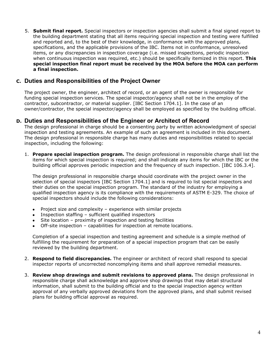5. **Submit final report.** Special inspectors or inspection agencies shall submit a final signed report to the building department stating that all items requiring special inspection and testing were fulfilled and reported and, to the best of their knowledge, in conformance with the approved plans, specifications, and the applicable provisions of the IBC. Items not in conformance, unresolved items, or any discrepancies in inspection coverage (i.e. missed inspections, periodic inspection when continuous inspection was required, etc.) should be specifically itemized in this report. **This special inspection final report must be received by the MOA before the MOA can perform a final inspection.**

# **C. Duties and Responsibilities of the Project Owner**

The project owner, the engineer, architect of record, or an agent of the owner is responsible for funding special inspection services. The special inspector/agency shall not be in the employ of the contractor, subcontractor, or material supplier. [IBC Section 1704.1]. In the case of an owner/contractor, the special inspector/agency shall be employed as specified by the building official.

## **D. Duties and Responsibilities of the Engineer or Architect of Record**

The design professional in charge should be a consenting party by written acknowledgment of special inspection and testing agreements. An example of such an agreement is included in this document. The design professional in responsible charge has many duties and responsibilities related to special inspection, including the following:

1. **Prepare special inspection program.** The design professional in responsible charge shall list the items for which special inspection is required; and shall indicate any items for which the IBC or the building official approves periodic inspection and the frequency of such inspection. [IBC 106.3.4].

The design professional in responsible charge should coordinate with the project owner in the selection of special inspectors [IBC Section 1704.1] and is required to list special inspectors and their duties on the special inspection program. The standard of the industry for employing a qualified inspection agency is its compliance with the requirements of ASTM E-329. The choice of special inspectors should include the following considerations:

- Project size and complexity experience with similar projects
- Inspection staffing sufficient qualified inspectors
- Site location proximity of inspection and testing facilities
- Off-site inspection capabilities for inspection at remote locations.

Completion of a special inspection and testing agreement and schedule is a simple method of fulfilling the requirement for preparation of a special inspection program that can be easily reviewed by the building department.

- 2. **Respond to field discrepancies.** The engineer or architect of record shall respond to special inspector reports of uncorrected noncomplying items and shall approve remedial measures.
- 3. **Review shop drawings and submit revisions to approved plans.** The design professional in responsible charge shall acknowledge and approve shop drawings that may detail structural information, shall submit to the building official and to the special inspection agency written approval of any verbally approved deviations from the approved plans, and shall submit revised plans for building official approval as required.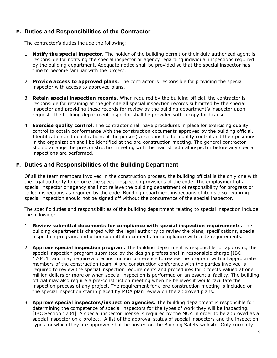# **E. Duties and Responsibilities of the Contractor**

The contractor's duties include the following:

- 1. **Notify the special inspector.** The holder of the building permit or their duly authorized agent is responsible for notifying the special inspector or agency regarding individual inspections required by the building department. Adequate notice shall be provided so that the special inspector has time to become familiar with the project.
- 2. **Provide access to approved plans.** The contractor is responsible for providing the special inspector with access to approved plans.
- 3. **Retain special inspection records.** When required by the building official, the contractor is responsible for retaining at the job site all special inspection records submitted by the special inspector and providing these records for review by the building department's inspector upon request. The building department inspector shall be provided with a copy for his use.
- 4. **Exercise quality control.** The contractor shall have procedures in place for exercising quality control to obtain conformance with the construction documents approved by the building official. Identification and qualifications of the person(s) responsible for quality control and their positions in the organization shall be identified at the pre-construction meeting. The general contractor should arrange the pre-construction meeting with the lead structural inspector before any special inspections are performed.

# **F. Duties and Responsibilities of the Building Department**

Of all the team members involved in the construction process, the building official is the only one with the legal authority to enforce the special inspection provisions of the code. The employment of a special inspector or agency shall not relieve the building department of responsibility for progress or called inspections as required by the code. Building department inspections of items also requiring special inspection should not be signed off without the concurrence of the special inspector.

The specific duties and responsibilities of the building department relating to special inspection include the following:

- 1. **Review submittal documents for compliance with special inspection requirements.** The building department is charged with the legal authority to review the plans, specifications, special inspection program, and other submittal documents for compliance with code requirements.
- 2. **Approve special inspection program.** The building department is responsible for approving the special inspection program submitted by the design professional in responsible charge [IBC 1704.1] and may require a preconstruction conference to review the program with all appropriate members of the construction team. A pre-construction conference with the parties involved is required to review the special inspection requirements and procedures for projects valued at one million dollars or more or when special inspection is performed on an essential facility. The building official may also require a pre-construction meeting when he believes it would facilitate the inspection process of any project. The requirement for a pre-construction meeting is included on the special inspection stamp placed by MOA plan review on the approved plans.
- 3. **Approve special inspectors/inspection agencies.** The building department is responsible for determining the competence of special inspectors for the types of work they will be inspecting. [IBC Section 1704]. A special inspector license is required by the MOA in order to be approved as a special inspector on a project. A list of the approval status of special inspectors and the inspection types for which they are approved shall be posted on the Building Safety website. Only currently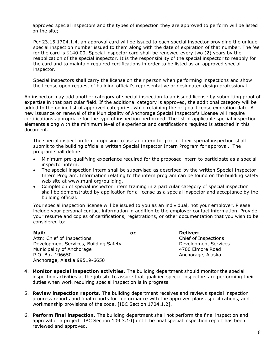approved special inspectors and the types of inspection they are approved to perform will be listed on the site;

Per 23.15.1704.1.4, an approval card will be issued to each special inspector providing the unique special inspection number issued to them along with the date of expiration of that number. The fee for the card is \$140.00. Special inspector card shall be renewed every two (2) years by the reapplication of the special inspector. It is the responsibility of the special inspector to reapply for the card and to maintain required certifications in order to be listed as an approved special inspector.

Special inspectors shall carry the license on their person when performing inspections and show the license upon request of building official's representative or designated design professional.

An inspector may add another category of special inspection to an issued license by submitting proof of expertise in that particular field. If the additional category is approved, the additional category will be added to the online list of approved categories, while retaining the original license expiration date. A new issuance or renewal of the Municipality of Anchorage Special Inspector's License will require certifications appropriate for the type of inspection performed. The list of applicable special inspection elements along with the minimum level of experience and certifications required is attached in this document.

The special inspection firm proposing to use an intern for part of their special inspection shall submit to the building official a written Special Inspector Intern Program for approval. The program shall define:

- Minimum pre-qualifying experience required for the proposed intern to participate as a special inspector intern.
- The special inspection intern shall be supervised as described by the written Special Inspector Intern Program. Information relating to the intern program can be found on the building safety web site at www.muni.org/building.
- Completion of special inspector intern training in a particular category of special inspection shall be demonstrated by application for a license as a special inspector and acceptance by the building official.

Your special inspection license will be issued to you as an individual, not your employer. Please include your personal contact information in addition to the employer contact information. Provide your resume and copies of certifications, registrations, or other documentation that you wish to be considered to:

**Mail: or Deliver:** Attn: Chief of Inspections and Chief of Inspections Chief of Inspections Chief of Inspections Development Services, Building Safety **Development Services** Municipality of Anchorage 1996 and 1997 and 1997 and 4700 Elmore Road P.O. Box 196650 **Anchorage, Alaska** Anchorage, Alaska 99519-6650

- 4. **Monitor special inspection activities.** The building department should monitor the special inspection activities at the job site to assure that qualified special inspectors are performing their duties when work requiring special inspection is in progress.
- 5. **Review inspection reports.** The building department receives and reviews special inspection progress reports and final reports for conformance with the approved plans, specifications, and workmanship provisions of the code. [IBC Section 1704.1.2].
- 6. **Perform final inspection.** The building department shall not perform the final inspection and approval of a project [IBC Section 109.3.10] until the final special inspection report has been reviewed and approved.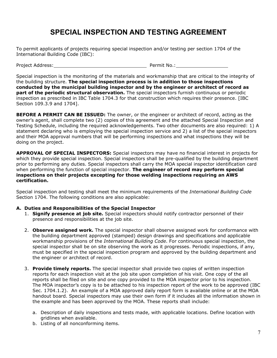# **SPECIAL INSPECTION AND TESTING AGREEMENT**

<span id="page-6-0"></span>To permit applicants of projects requiring special inspection and/or testing per section 1704 of the International Building Code (IBC):

Project Address: The Contract of the Permit No.:

Special inspection is the monitoring of the materials and workmanship that are critical to the integrity of the building structure. **The special inspection process is in addition to those inspections conducted by the municipal building inspector and by the engineer or architect of record as part of the periodic structural observation.** The special inspectors furnish continuous or periodic inspection as prescribed in IBC Table 1704.3 for that construction which requires their presence. [IBC Section 109.3.9 and 1704].

**BEFORE A PERMIT CAN BE ISSUED:** The owner, or the engineer or architect of record, acting as the owner's agent, shall complete two (2) copies of this agreement and the attached Special Inspection and Testing Schedule, including the required acknowledgements. Two other documents are also required: 1) A statement declaring who is employing the special inspection service and 2) a list of the special inspectors and their MOA approval numbers that will be performing inspections and what inspections they will be doing on the project.

**APPROVAL OF SPECIAL INSPECTORS:** Special inspectors may have no financial interest in projects for which they provide special inspection. Special inspectors shall be pre-qualified by the building department prior to performing any duties. Special inspectors shall carry the MOA special inspector identification card when performing the function of special inspector. **The engineer of record may perform special inspections on their projects excepting for those welding inspections requiring an AWS certification.**

Special inspection and testing shall meet the minimum requirements of the *International Building Code* Section 1704. The following conditions are also applicable:

#### **A. Duties and Responsibilities of the Special Inspector**

- 1. **Signify presence at job site.** Special inspectors should notify contractor personnel of their presence and responsibilities at the job site.
- 2. **Observe assigned work.** The special inspector shall observe assigned work for conformance with the building department approved (stamped) design drawings and specifications and applicable workmanship provisions of the *International Building Code*. For continuous special inspection, the special inspector shall be on site observing the work as it progresses. Periodic inspections, if any, must be specified in the special inspection program and approved by the building department and the engineer or architect of record.
- 3. **Provide timely reports.** The special inspector shall provide two copies of written inspection reports for each inspection visit at the job site upon completion of his visit. One copy of the all reports shall be filed on site and one copy provided to the MOA inspector prior to his inspection. The MOA inspector's copy is to be attached to his inspection report of the work to be approved (IBC Sec. 1704.1.2). An example of a MOA approved daily report form is available online or at the MOA handout board. Special inspectors may use their own form if it includes all the information shown in the example and has been approved by the MOA. These reports shall include:
	- a. Description of daily inspections and tests made, with applicable locations. Define location with gridlines when available.
	- b. Listing of all nonconforming items.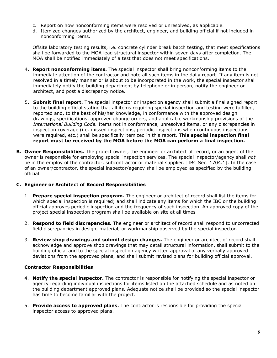- c. Report on how nonconforming items were resolved or unresolved, as applicable.
- d. Itemized changes authorized by the architect, engineer, and building official if not included in nonconforming items.

Offsite laboratory testing results, i.e. concrete cylinder break batch testing, that meet specifications shall be forwarded to the MOA lead structural inspector within seven days after completion. The MOA shall be notified immediately of a test that does not meet specifications.

- 4. **Report nonconforming items.** The special inspector shall bring nonconforming items to the immediate attention of the contractor and note all such items in the daily report. If any item is not resolved in a timely manner or is about to be incorporated in the work, the special inspector shall immediately notify the building department by telephone or in person, notify the engineer or architect, and post a discrepancy notice.
- 5. **Submit final report.** The special inspector or inspection agency shall submit a final signed report to the building official stating that all items requiring special inspection and testing were fulfilled, reported and, to the best of his/her knowledge, in conformance with the approved design drawings, specifications, approved change orders, and applicable workmanship provisions of the *International Building Code.* Items not in conformance, unresolved items, or any discrepancies in inspection coverage (i.e. missed inspections, periodic inspections when continuous inspections were required, etc.) shall be specifically itemized in this report. **This special inspection final report must be received by the MOA before the MOA can perform a final inspection.**
- **B. Owner Responsibilities.** The project owner, the engineer or architect of record, or an agent of the owner is responsible for employing special inspection services. The special inspector/agency shall *not* be in the employ of the contractor, subcontractor or material supplier. [IBC Sec. 1704.1]. In the case of an owner/contractor, the special inspector/agency shall be employed as specified by the building official.

#### **C. Engineer or Architect of Record Responsibilities**

- 1. **Prepare special inspection program.** The engineer or architect of record shall list the items for which special inspection is required; and shall indicate any items for which the IBC or the building official approves periodic inspection and the frequency of such inspection. An approved copy of the project special inspection program shall be available on site at all times
- 2. **Respond to field discrepancies.** The engineer or architect of record shall respond to uncorrected field discrepancies in design, material, or workmanship observed by the special inspector.
- 3. **Review shop drawings and submit design changes.** The engineer or architect of record shall acknowledge and approve shop drawings that may detail structural information, shall submit to the building official and to the special inspection agency written approval of any verbally approved deviations from the approved plans, and shall submit revised plans for building official approval.

### **Contractor Responsibilities**

- 4. **Notify the special inspector.** The contractor is responsible for notifying the special inspector or agency regarding individual inspections for items listed on the attached schedule and as noted on the building department approved plans. Adequate notice shall be provided so the special inspector has time to become familiar with the project.
- 5. **Provide access to approved plans.** The contractor is responsible for providing the special inspector access to approved plans.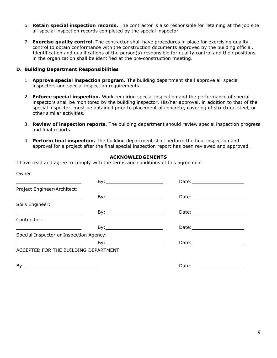- 6. **Retain special inspection records.** The contractor is also responsible for retaining at the job site all special inspection records completed by the special inspector.
- 7. **Exercise quality control.** The contractor shall have procedures in place for exercising quality control to obtain conformance with the construction documents approved by the building official. Identification and qualifications of the person(s) responsible for quality control and their positions in the organization shall be identified at the pre-construction meeting.

#### **D. Building Department Responsibilities**

- 1. **Approve special inspection program.** The building department shall approve all special inspectors and special inspection requirements.
- 2. **Enforce special inspection.** Work requiring special inspection and the performance of special inspectors shall be monitored by the building inspector. His/her approval, in addition to that of the special inspector, must be obtained prior to placement of concrete, covering of structural steel, or other similar activities.
- 3. **Review of inspection reports.** The building department should review special inspection progress and final reports.
- 4. **Perform final inspection.** The building department shall perform the final inspection and approval for a project after the final special inspection report has been reviewed and approved.

### **ACKNOWLEDGEMENTS**

I have read and agree to comply with the terms and conditions of this agreement.

| Owner:                                                                                                                                                                                                                               |     |                                                                                                                                                                                                                                |
|--------------------------------------------------------------------------------------------------------------------------------------------------------------------------------------------------------------------------------------|-----|--------------------------------------------------------------------------------------------------------------------------------------------------------------------------------------------------------------------------------|
|                                                                                                                                                                                                                                      |     |                                                                                                                                                                                                                                |
| Project Engineer/Architect:                                                                                                                                                                                                          |     |                                                                                                                                                                                                                                |
| <u> 1989 - Andrea Stadt Britain, amerikansk politiker (</u>                                                                                                                                                                          |     |                                                                                                                                                                                                                                |
| Soils Engineer:                                                                                                                                                                                                                      |     |                                                                                                                                                                                                                                |
| <u> Alexandria de la contrada de la contrada de la contrada de la contrada de la contrada de la contrada de la c</u>                                                                                                                 |     |                                                                                                                                                                                                                                |
| Contractor:                                                                                                                                                                                                                          |     |                                                                                                                                                                                                                                |
| <u>state and the state of the state and the state of the state of the state of the state of the state of the state of the state of the state of the state of the state of the state of the state of the state of the state of th</u> | By: | Date: the contract of the contract of the contract of the contract of the contract of the contract of the contract of the contract of the contract of the contract of the contract of the contract of the contract of the cont |
| Special Inspector or Inspection Agency:                                                                                                                                                                                              |     |                                                                                                                                                                                                                                |
| <u> 1980 - Johann Barn, mars ann an t-Amhainn an t-Amhainn an t-Amhainn an t-Amhainn an t-Amhainn an t-Amhainn an </u>                                                                                                               |     |                                                                                                                                                                                                                                |
| ACCEPTED FOR THE BUILDING DEPARTMENT                                                                                                                                                                                                 |     |                                                                                                                                                                                                                                |
|                                                                                                                                                                                                                                      |     | Date: ______________                                                                                                                                                                                                           |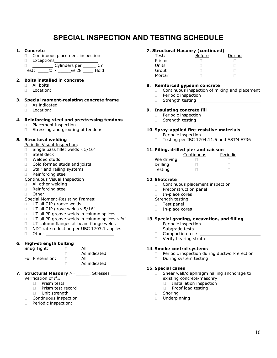# **SPECIAL INSPECTION AND TESTING SCHEDULE**

#### <span id="page-9-0"></span>**1. Concrete**

- □ Continuous placement inspection
- □ Exceptions

 $\Box$   $\overline{\text{Cylinders per}}$   $\overline{\text{Cylinders}}$   $\overline{\text{Cylinders}}$   $\overline{\text{Cylinders}}$   $\overline{\text{Cylovers}}$   $\overline{\text{Cylovers}}$ Test: \_\_\_\_@ 7 \_\_\_\_\_@ 28 \_\_\_\_ Hold

#### **2. Bolts installed in concrete**

- $\Box$  All bolts
- Location:

#### **3. Special moment-resisting concrete frame**

- As indicated
- □ Location:

#### **4. Reinforcing steel and prestressing tendons**

- **Placement inspection**
- $\Box$  Stressing and grouting of tendons

#### **5. Structural welding**

Periodic Visual Inspection:

- $\Box$  Single pass fillet welds < 5/16"
- □ Steel deck
- Welded studs
- □ Cold formed studs and joists
- □ Stair and railing systems
- Reinforcing steel
- Continuous Visual Inspection
- **All other welding**
- Reinforcing steel
- □ Other \_

#### Special Moment-Resisting Frames:

- **UT all CJP groove welds**
- $\Box$  UT all CJP grove welds > 5/16"
- **UT all PP groove welds in column splices**
- $\Box$  UT all PP groove welds in column splices > 3/4"
- UT column flanges at beam flange welds
- □ NDT rate reduction per UBC 1703.1 applies
- Other

#### **6. High-strength bolting**

| Snug Tight: | All |
|-------------|-----|
|             |     |

Full Pretension: 0

 $\Box$  As indicated As indicated

# **7. Structural Masonry**  $f^1{}_m$  \_\_\_\_\_, Stresses \_\_\_\_\_\_

Verification of *f1 m:*

- **Prism tests**
- **D** Prism test record
- D Unit strength
- Continuous inspection
- $\Box$  Periodic inspection:

#### **7. Structural Masonry (continued)**

| Test:  | Before | During |
|--------|--------|--------|
| Prisms |        |        |
| Units  |        |        |
| Grout  |        |        |
| Mortar |        |        |

#### **8. Reinforced gypsum concrete**

- $\Box$  Continuous inspection of mixing and placement  $\Box$  Periodic inspection
- Periodic inspection
- Strength testing

#### **9. Insulating concrete fill**

- D Periodic inspection
- □ Strength testing

#### **10. Spray-applied fire-resistive materials**

- D Periodic inspection
- □ Testing per IBC 1704.11.5 and ASTM E736

#### **11. Piling, drilled pier and caisson**

|              | Continuous | Periodic |
|--------------|------------|----------|
| Pile driving |            |          |
| Drilling     |            |          |
| Testing      |            |          |

#### **12. Shotcrete**

- Continuous placement inspection
- **Preconstruction panel**
- □ In-place cores
- Strength testing
- D Test panel
- □ In-place cores

#### **13. Special grading, excavation, and filling**

- D Periodic inspection
- □ Subgrade tests
- Compaction tests
- D Verify bearing strata

#### **14. Smoke control systems**

- $\Box$  Periodic inspection during ductwork erection
- During system testing

#### **15. Special cases**

- $\Box$  Shear wall/diaphragm nailing anchorage to existing concrete/masonry
	- □ Installation inspection
	- D Proof load testing
- Shoring
- Underpinning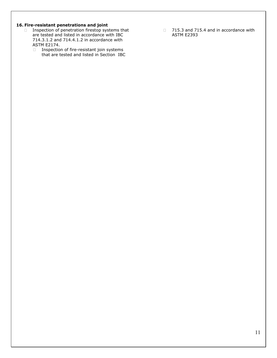#### **16. Fire-resistant penetrations and joint**

- □ Inspection of penetration firestop systems that are tested and listed in accordance with IBC 714.3.1.2 and 714.4.1.2 in accordance with ASTM E2174.
	- □ Inspection of fire-resistant join systems that are tested and listed in Section IBC
- 715.3 and 715.4 and in accordance with ASTM E2393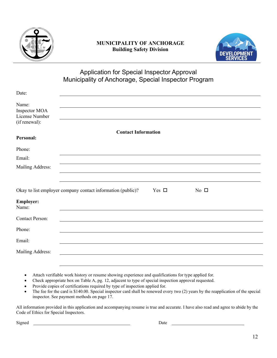

# **MUNICIPALITY OF ANCHORAGE Building Safety Division**



# Application for Special Inspector Approval Municipality of Anchorage, Special Inspector Program

<span id="page-11-0"></span>

| Date:                                                     |                                                             |            |              |  |
|-----------------------------------------------------------|-------------------------------------------------------------|------------|--------------|--|
| Name:<br>Inspector MOA<br>License Number<br>(if renewal): |                                                             |            |              |  |
| Personal:                                                 | <b>Contact Information</b>                                  |            |              |  |
| Phone:                                                    |                                                             |            |              |  |
| Email:                                                    |                                                             |            |              |  |
| Mailing Address:                                          |                                                             |            |              |  |
|                                                           |                                                             |            |              |  |
|                                                           | Okay to list employer company contact information (public)? | Yes $\Box$ | No $\square$ |  |
| <b>Employer:</b><br>Name:                                 |                                                             |            |              |  |
| <b>Contact Person:</b>                                    |                                                             |            |              |  |
| Phone:                                                    |                                                             |            |              |  |
| Email:                                                    |                                                             |            |              |  |
| Mailing Address:                                          |                                                             |            |              |  |
|                                                           |                                                             |            |              |  |

- Attach verifiable work history or resume showing experience and qualifications for type applied for.
- Check appropriate box on Table A, pg. 12, adjacent to type of special inspection approval requested.
- Provide copies of certifications required by type of inspection applied for.
- The fee for the card is \$140.00. Special inspector card shall be renewed every two (2) years by the reapplication of the special inspector. See payment methods on page 17.

All information provided in this application and accompanying resume is true and accurate. I have also read and agree to abide by the Code of Ethics for Special Inspectors.

Signed Date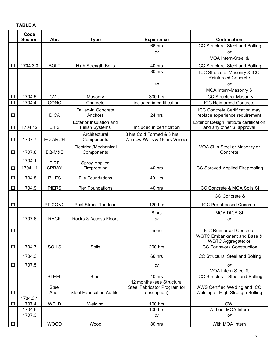<span id="page-12-0"></span>

|                  | Code<br><b>Section</b> | Abr.                        | <b>Type</b>                                             | <b>Experience</b>                                         | <b>Certification</b>                                                 |
|------------------|------------------------|-----------------------------|---------------------------------------------------------|-----------------------------------------------------------|----------------------------------------------------------------------|
|                  |                        |                             |                                                         | 66 hrs                                                    | <b>ICC Structural Steel and Bolting</b>                              |
|                  |                        |                             |                                                         | or                                                        | <b>or</b>                                                            |
|                  |                        |                             |                                                         |                                                           | MOA Intern-Steel &                                                   |
| $\Box$           | 1704.3.3               | <b>BOLT</b>                 | <b>High Strength Bolts</b>                              | 40 hrs                                                    | <b>ICC Structural Steel and Bolting</b>                              |
|                  |                        |                             |                                                         | 80 hrs                                                    | ICC Structural Masonry & ICC<br><b>Reinforced Concrete</b>           |
|                  |                        |                             |                                                         | or                                                        | or                                                                   |
|                  |                        |                             |                                                         |                                                           | MOA Intern-Masonry &                                                 |
| $\Box$<br>$\Box$ | 1704.5<br>1704.4       | <b>CMU</b><br>CONC          | Masonry<br>Concrete                                     | 300 hrs<br>included in certification                      | <b>ICC Structural Masonry</b><br><b>ICC Reinforced Concrete</b>      |
|                  |                        |                             | <b>Drilled-In Concrete</b>                              |                                                           | ICC Concrete Certification may                                       |
| $\Box$           |                        | <b>DICA</b>                 | Anchors                                                 | 24 hrs                                                    | replace experience requirement                                       |
| $\Box$           | 1704.12                | <b>EIFS</b>                 | <b>Exterior Insulation and</b><br><b>Finish Systems</b> | Included in certification                                 | Exterior Design Institute certification<br>and any other SI approval |
| $\Box$           | 1707.7                 | <b>EQ-ARCH</b>              | Architectural<br>Components                             | 8 hrs Cold Formed & 8 hrs<br>Window Walls & 16 hrs Veneer |                                                                      |
| $\Box$           | 1707.8                 | EQ-M&E                      | Electrical/Mechanical<br>Components                     |                                                           | MOA SI in Steel or Masonry or<br>Concrete                            |
|                  | 1704.1                 |                             |                                                         |                                                           |                                                                      |
| $\Box$           | 1704.11                | <b>FIRE</b><br><b>SPRAY</b> | Spray-Applied<br>Fireproofing                           | 40 hrs                                                    | ICC Sprayed-Applied Fireproofing                                     |
|                  |                        |                             |                                                         |                                                           |                                                                      |
| $\Box$           | 1704.8                 | <b>PILES</b>                | <b>Pile Foundations</b>                                 | 40 Hrs                                                    |                                                                      |
| $\Box$           | 1704.9                 | <b>PIERS</b>                | <b>Pier Foundations</b>                                 | 40 hrs                                                    | ICC Concrete & MOA Soils SI                                          |
|                  |                        |                             |                                                         |                                                           | ICC Concrete &                                                       |
| $\Box$           |                        | PT CONC                     | <b>Post Stress Tendons</b>                              | 120 hrs                                                   | <b>ICC Pre-stressed Concrete</b>                                     |
|                  |                        |                             |                                                         | 8 hrs                                                     | <b>MOA DICA SI</b>                                                   |
|                  | 1707.6                 | <b>RACK</b>                 | Racks & Access Floors                                   | or                                                        | or                                                                   |
|                  |                        |                             |                                                         |                                                           | <b>ICC Reinforced Concrete</b>                                       |
| $\Box$           |                        |                             |                                                         | none                                                      | <b>WQTC Embankment and Base &amp;</b>                                |
|                  |                        |                             |                                                         |                                                           | WQTC Aggregate; or                                                   |
| $\Box$           | 1704.7                 | <b>SOILS</b>                | Soils                                                   | 200 hrs                                                   | <b>ICC Earthwork Construction</b>                                    |
|                  | 1704.3                 |                             |                                                         | 66 hrs                                                    | ICC Structural Steel and Bolting                                     |
| $\Box$           | 1707.5                 |                             |                                                         | or                                                        | or                                                                   |
|                  |                        |                             |                                                         |                                                           | MOA Intern-Steel &                                                   |
|                  |                        | <b>STEEL</b>                | Steel                                                   | 40 hrs<br>12 months (see Structural                       | ICC Structural Steel and Bolting                                     |
| $\Box$           |                        | <b>Steel</b><br>Audit       | <b>Steel Fabrication Auditor</b>                        | Steel Fabricator Program for<br>description)              | AWS Certified Welding and ICC<br>Welding or High-Strength Bolting    |
|                  | 1704.3.1               |                             |                                                         |                                                           |                                                                      |
| $\Box$           | 1707.4                 | <b>WELD</b>                 | Welding                                                 | 100 hrs                                                   | <b>CWI</b>                                                           |
|                  | 1704.6<br>1707.3       |                             |                                                         | <b>100 hrs</b><br>or                                      | Without MOA Intern<br>or                                             |
| $\Box$           |                        | <b>WOOD</b>                 | Wood                                                    | 80 hrs                                                    | With MOA Intern                                                      |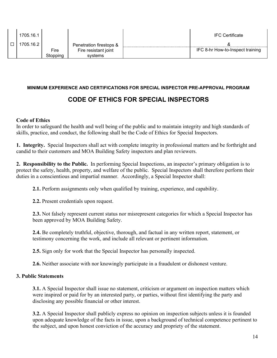| 1705.16.1 |          |                         | <b>IFC Certificate</b>           |
|-----------|----------|-------------------------|----------------------------------|
| 1705.16.2 |          | Penetration firestops & |                                  |
|           | Fire     | Fire resistant joint    | IFC 8-hr How-to-Inspect training |
|           | Stoppina | systems                 |                                  |

### <span id="page-13-0"></span>**MINIMUM EXPERIENCE AND CERTIFICATIONS FOR SPECIAL INSPECTOR PRE-APPROVAL PROGRAM**

# **CODE OF ETHICS FOR SPECIAL INSPECTORS**

### **Code of Ethics**

In order to safeguard the health and well being of the public and to maintain integrity and high standards of skills, practice, and conduct, the following shall be the Code of Ethics for Special Inspectors.

**1. Integrity.** Special Inspectors shall act with complete integrity in professional matters and be forthright and candid to their customers and MOA Building Safety inspectors and plan reviewers.

**2. Responsibility to the Public.** In performing Special Inspections, an inspector's primary obligation is to protect the safety, health, property, and welfare of the public. Special Inspectors shall therefore perform their duties in a conscientious and impartial manner. Accordingly, a Special Inspector shall:

**2.1.** Perform assignments only when qualified by training, experience, and capability.

**2.2.** Present credentials upon request.

**2.3.** Not falsely represent current status nor misrepresent categories for which a Special Inspector has been approved by MOA Building Safety.

**2.4.** Be completely truthful, objective, thorough, and factual in any written report, statement, or testimony concerning the work, and include all relevant or pertinent information.

**2.5.** Sign only for work that the Special Inspector has personally inspected.

**2.6.** Neither associate with nor knowingly participate in a fraudulent or dishonest venture.

## **3. Public Statements**

**3.1.** A Special Inspector shall issue no statement, criticism or argument on inspection matters which were inspired or paid for by an interested party, or parties, without first identifying the party and disclosing any possible financial or other interest.

**3.2.** A Special Inspector shall publicly express no opinion on inspection subjects unless it is founded upon adequate knowledge of the facts in issue, upon a background of technical competence pertinent to the subject, and upon honest conviction of the accuracy and propriety of the statement.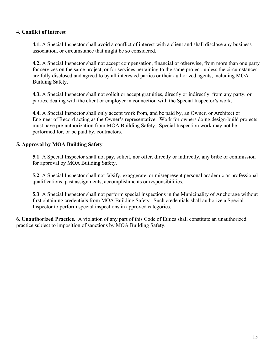## **4. Conflict of Interest**

**4.1.** A Special Inspector shall avoid a conflict of interest with a client and shall disclose any business association, or circumstance that might be so considered.

**4.2.** A Special Inspector shall not accept compensation, financial or otherwise, from more than one party for services on the same project, or for services pertaining to the same project, unless the circumstances are fully disclosed and agreed to by all interested parties or their authorized agents, including MOA Building Safety.

**4.3.** A Special Inspector shall not solicit or accept gratuities, directly or indirectly, from any party, or parties, dealing with the client or employer in connection with the Special Inspector's work.

**4.4.** A Special Inspector shall only accept work from, and be paid by, an Owner, or Architect or Engineer of Record acting as the Owner's representative. Work for owners doing design-build projects must have pre-authorization from MOA Building Safety. Special Inspection work may not be performed for, or be paid by, contractors.

# **5. Approval by MOA Building Safety**

**5.1**. A Special Inspector shall not pay, solicit, nor offer, directly or indirectly, any bribe or commission for approval by MOA Building Safety.

**5.2**. A Special Inspector shall not falsify, exaggerate, or misrepresent personal academic or professional qualifications, past assignments, accomplishments or responsibilities.

**5.3**. A Special Inspector shall not perform special inspections in the Municipality of Anchorage without first obtaining credentials from MOA Building Safety. Such credentials shall authorize a Special Inspector to perform special inspections in approved categories.

**6. Unauthorized Practice.** A violation of any part of this Code of Ethics shall constitute an unauthorized practice subject to imposition of sanctions by MOA Building Safety.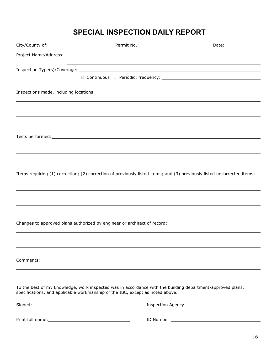# <span id="page-15-0"></span>**SPECIAL INSPECTION DAILY REPORT**

| Items requiring (1) correction; (2) correction of previously listed items; and (3) previously listed uncorrected items:                                                                     |  |
|---------------------------------------------------------------------------------------------------------------------------------------------------------------------------------------------|--|
|                                                                                                                                                                                             |  |
|                                                                                                                                                                                             |  |
|                                                                                                                                                                                             |  |
|                                                                                                                                                                                             |  |
|                                                                                                                                                                                             |  |
|                                                                                                                                                                                             |  |
|                                                                                                                                                                                             |  |
|                                                                                                                                                                                             |  |
|                                                                                                                                                                                             |  |
|                                                                                                                                                                                             |  |
|                                                                                                                                                                                             |  |
|                                                                                                                                                                                             |  |
| To the best of my knowledge, work inspected was in accordance with the building department-approved plans,<br>specifications, and applicable workmanship of the IBC, except as noted above. |  |
|                                                                                                                                                                                             |  |
|                                                                                                                                                                                             |  |
|                                                                                                                                                                                             |  |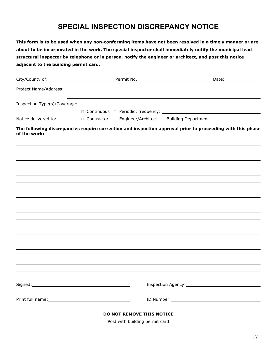# **SPECIAL INSPECTION DISCREPANCY NOTICE**

<span id="page-16-0"></span>**This form is to be used when any non-conforming items have not been resolved in a timely manner or are about to be incorporated in the work. The special inspector shall immediately notify the municipal lead structural inspector by telephone or in person, notify the engineer or architect, and post this notice adjacent to the building permit card.**

|                      |                                                                        | Date: the contract of the contract of the contract of the contract of the contract of the contract of the contract of the contract of the contract of the contract of the contract of the contract of the contract of the cont |
|----------------------|------------------------------------------------------------------------|--------------------------------------------------------------------------------------------------------------------------------------------------------------------------------------------------------------------------------|
|                      |                                                                        |                                                                                                                                                                                                                                |
|                      |                                                                        |                                                                                                                                                                                                                                |
|                      |                                                                        |                                                                                                                                                                                                                                |
|                      |                                                                        |                                                                                                                                                                                                                                |
| Notice delivered to: | $\Box$ Contractor $\Box$ Engineer/Architect $\Box$ Building Department |                                                                                                                                                                                                                                |

**The following discrepancies require correction and inspection approval prior to proceeding with this phase of the work:**

| DO NOT REMOVE THIS NOTICE |  |  |
|---------------------------|--|--|
|                           |  |  |

Post with building permit card